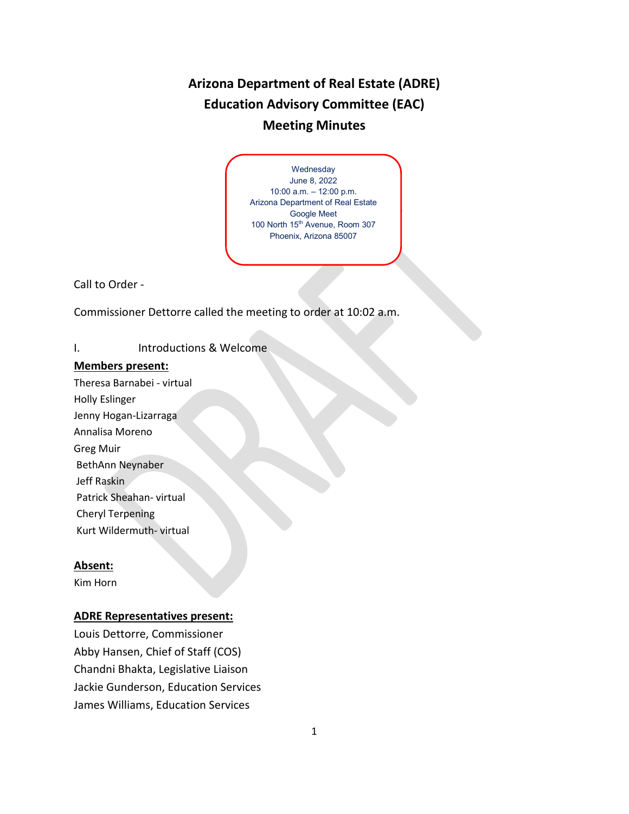# **Arizona Department of Real Estate (ADRE) Education Advisory Committee (EAC) Meeting Minutes**

Wednesday June 8, 2022 10:00 a.m. – 12:00 p.m. Arizona Department of Real Estate Google Meet 100 North 15<sup>th</sup> Avenue, Room 307 Phoenix, Arizona 85007

Call to Order -

Commissioner Dettorre called the meeting to order at 10:02 a.m.

## I. Introductions & Welcome

#### **Members present:**

Theresa Barnabei - virtual Holly Eslinger Jenny Hogan-Lizarraga Annalisa Moreno Greg Muir BethAnn Neynaber Jeff Raskin Patrick Sheahan- virtual Cheryl Terpening

Kurt Wildermuth- virtual

#### **Absent:**

Kim Horn

#### **ADRE Representatives present:**

Louis Dettorre, Commissioner Abby Hansen, Chief of Staff (COS) Chandni Bhakta, Legislative Liaison Jackie Gunderson, Education Services James Williams, Education Services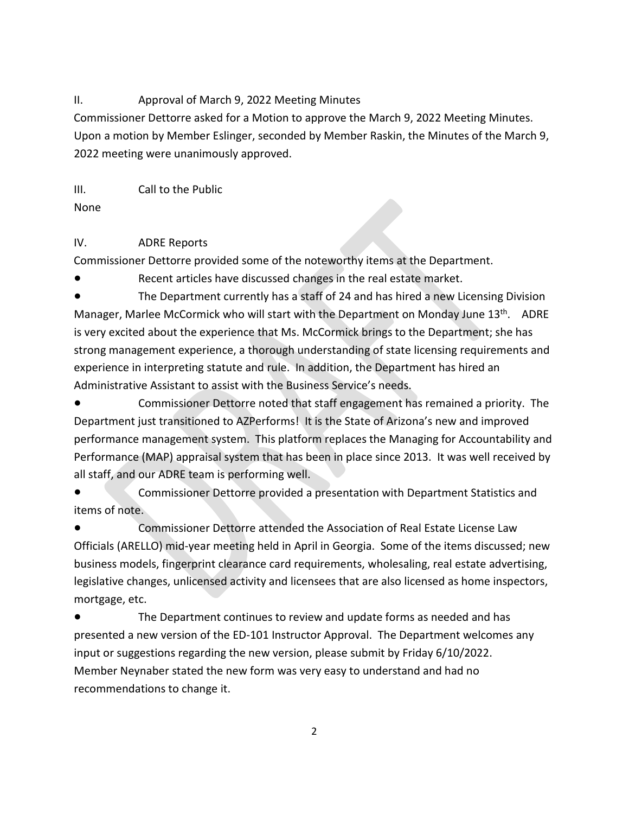### II. Approval of March 9, 2022 Meeting Minutes

Commissioner Dettorre asked for a Motion to approve the March 9, 2022 Meeting Minutes. Upon a motion by Member Eslinger, seconded by Member Raskin, the Minutes of the March 9, 2022 meeting were unanimously approved.

III. Call to the Public

None

## IV. ADRE Reports

Commissioner Dettorre provided some of the noteworthy items at the Department.

● Recent articles have discussed changes in the real estate market.

The Department currently has a staff of 24 and has hired a new Licensing Division Manager, Marlee McCormick who will start with the Department on Monday June 13<sup>th</sup>. ADRE is very excited about the experience that Ms. McCormick brings to the Department; she has strong management experience, a thorough understanding of state licensing requirements and experience in interpreting statute and rule. In addition, the Department has hired an Administrative Assistant to assist with the Business Service's needs.

Commissioner Dettorre noted that staff engagement has remained a priority. The Department just transitioned to AZPerforms! It is the State of Arizona's new and improved performance management system. This platform replaces the Managing for Accountability and Performance (MAP) appraisal system that has been in place since 2013. It was well received by all staff, and our ADRE team is performing well.

Commissioner Dettorre provided a presentation with Department Statistics and items of note.

Commissioner Dettorre attended the Association of Real Estate License Law Officials (ARELLO) mid-year meeting held in April in Georgia. Some of the items discussed; new business models, fingerprint clearance card requirements, wholesaling, real estate advertising, legislative changes, unlicensed activity and licensees that are also licensed as home inspectors, mortgage, etc.

● The Department continues to review and update forms as needed and has presented a new version of the ED-101 Instructor Approval. The Department welcomes any input or suggestions regarding the new version, please submit by Friday 6/10/2022. Member Neynaber stated the new form was very easy to understand and had no recommendations to change it.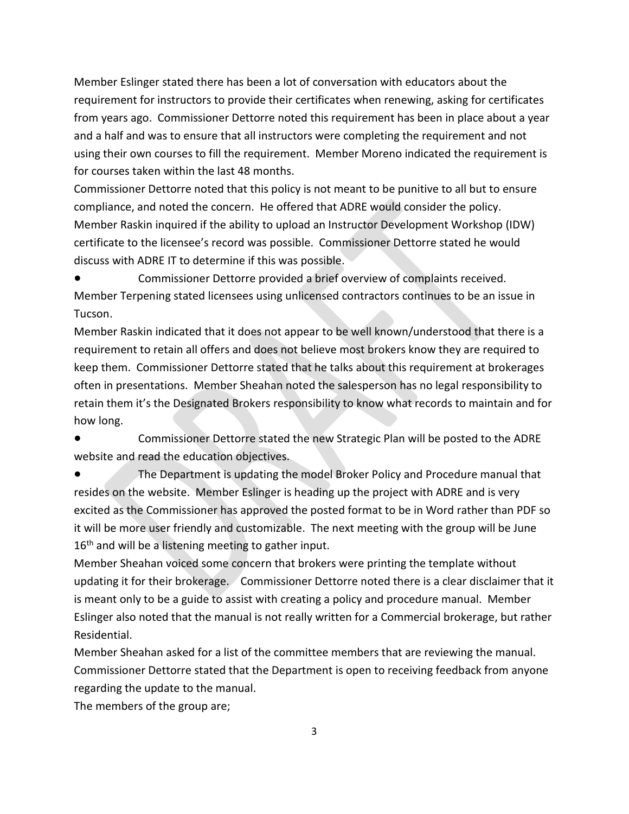Member Eslinger stated there has been a lot of conversation with educators about the requirement for instructors to provide their certificates when renewing, asking for certificates from years ago. Commissioner Dettorre noted this requirement has been in place about a year and a half and was to ensure that all instructors were completing the requirement and not using their own courses to fill the requirement. Member Moreno indicated the requirement is for courses taken within the last 48 months.

Commissioner Dettorre noted that this policy is not meant to be punitive to all but to ensure compliance, and noted the concern. He offered that ADRE would consider the policy. Member Raskin inquired if the ability to upload an Instructor Development Workshop (IDW) certificate to the licensee's record was possible. Commissioner Dettorre stated he would discuss with ADRE IT to determine if this was possible.

Commissioner Dettorre provided a brief overview of complaints received. Member Terpening stated licensees using unlicensed contractors continues to be an issue in Tucson.

Member Raskin indicated that it does not appear to be well known/understood that there is a requirement to retain all offers and does not believe most brokers know they are required to keep them. Commissioner Dettorre stated that he talks about this requirement at brokerages often in presentations. Member Sheahan noted the salesperson has no legal responsibility to retain them it's the Designated Brokers responsibility to know what records to maintain and for how long.

Commissioner Dettorre stated the new Strategic Plan will be posted to the ADRE website and read the education objectives.

The Department is updating the model Broker Policy and Procedure manual that resides on the website. Member Eslinger is heading up the project with ADRE and is very excited as the Commissioner has approved the posted format to be in Word rather than PDF so it will be more user friendly and customizable. The next meeting with the group will be June  $16<sup>th</sup>$  and will be a listening meeting to gather input.

Member Sheahan voiced some concern that brokers were printing the template without updating it for their brokerage. Commissioner Dettorre noted there is a clear disclaimer that it is meant only to be a guide to assist with creating a policy and procedure manual. Member Eslinger also noted that the manual is not really written for a Commercial brokerage, but rather Residential.

Member Sheahan asked for a list of the committee members that are reviewing the manual. Commissioner Dettorre stated that the Department is open to receiving feedback from anyone regarding the update to the manual.

The members of the group are;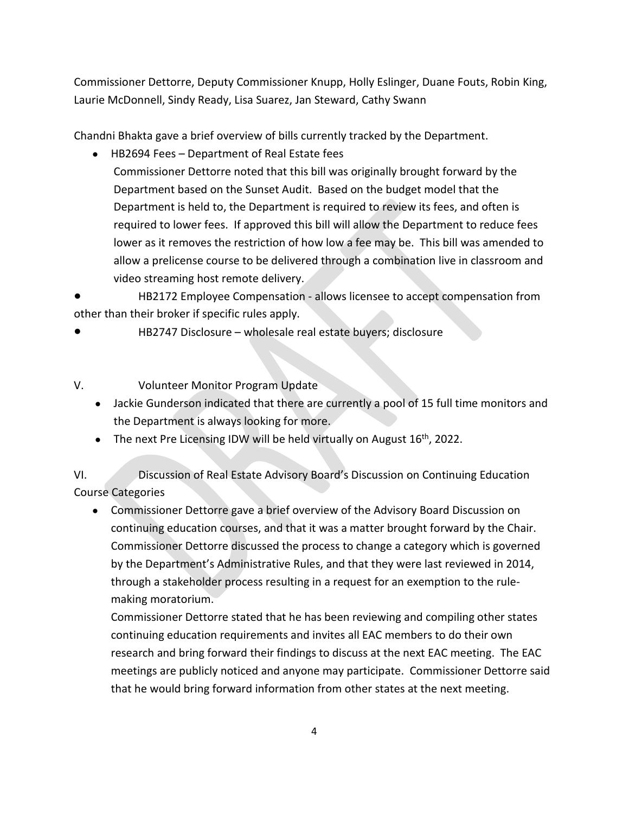Commissioner Dettorre, Deputy Commissioner Knupp, Holly Eslinger, Duane Fouts, Robin King, Laurie McDonnell, Sindy Ready, Lisa Suarez, Jan Steward, Cathy Swann

Chandni Bhakta gave a brief overview of bills currently tracked by the Department.

• HB2694 Fees – Department of Real Estate fees

Commissioner Dettorre noted that this bill was originally brought forward by the Department based on the Sunset Audit. Based on the budget model that the Department is held to, the Department is required to review its fees, and often is required to lower fees. If approved this bill will allow the Department to reduce fees lower as it removes the restriction of how low a fee may be. This bill was amended to allow a prelicense course to be delivered through a combination live in classroom and video streaming host remote delivery.

HB2172 Employee Compensation - allows licensee to accept compensation from other than their broker if specific rules apply.

HB2747 Disclosure – wholesale real estate buyers; disclosure

V. Volunteer Monitor Program Update

- Jackie Gunderson indicated that there are currently a pool of 15 full time monitors and the Department is always looking for more.
- The next Pre Licensing IDW will be held virtually on August  $16<sup>th</sup>$ , 2022.

VI. Discussion of Real Estate Advisory Board's Discussion on Continuing Education Course Categories

• Commissioner Dettorre gave a brief overview of the Advisory Board Discussion on continuing education courses, and that it was a matter brought forward by the Chair. Commissioner Dettorre discussed the process to change a category which is governed by the Department's Administrative Rules, and that they were last reviewed in 2014, through a stakeholder process resulting in a request for an exemption to the rulemaking moratorium.

Commissioner Dettorre stated that he has been reviewing and compiling other states continuing education requirements and invites all EAC members to do their own research and bring forward their findings to discuss at the next EAC meeting. The EAC meetings are publicly noticed and anyone may participate. Commissioner Dettorre said that he would bring forward information from other states at the next meeting.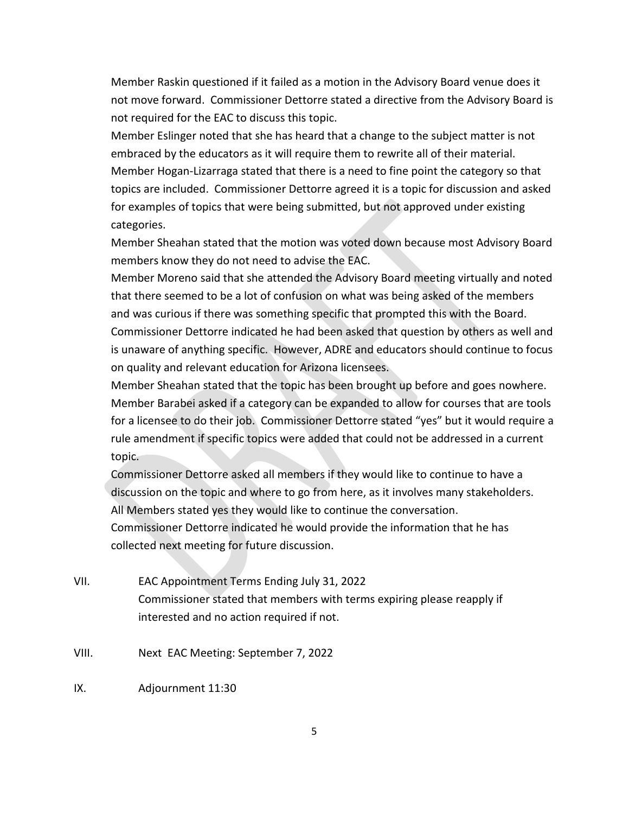Member Raskin questioned if it failed as a motion in the Advisory Board venue does it not move forward. Commissioner Dettorre stated a directive from the Advisory Board is not required for the EAC to discuss this topic.

Member Eslinger noted that she has heard that a change to the subject matter is not embraced by the educators as it will require them to rewrite all of their material. Member Hogan-Lizarraga stated that there is a need to fine point the category so that topics are included. Commissioner Dettorre agreed it is a topic for discussion and asked for examples of topics that were being submitted, but not approved under existing categories.

Member Sheahan stated that the motion was voted down because most Advisory Board members know they do not need to advise the EAC.

Member Moreno said that she attended the Advisory Board meeting virtually and noted that there seemed to be a lot of confusion on what was being asked of the members and was curious if there was something specific that prompted this with the Board. Commissioner Dettorre indicated he had been asked that question by others as well and is unaware of anything specific. However, ADRE and educators should continue to focus on quality and relevant education for Arizona licensees.

Member Sheahan stated that the topic has been brought up before and goes nowhere. Member Barabei asked if a category can be expanded to allow for courses that are tools for a licensee to do their job. Commissioner Dettorre stated "yes" but it would require a rule amendment if specific topics were added that could not be addressed in a current topic.

Commissioner Dettorre asked all members if they would like to continue to have a discussion on the topic and where to go from here, as it involves many stakeholders. All Members stated yes they would like to continue the conversation. Commissioner Dettorre indicated he would provide the information that he has collected next meeting for future discussion.

- VII. EAC Appointment Terms Ending July 31, 2022 Commissioner stated that members with terms expiring please reapply if interested and no action required if not.
- VIII. Next EAC Meeting: September 7, 2022
- IX. Adjournment 11:30